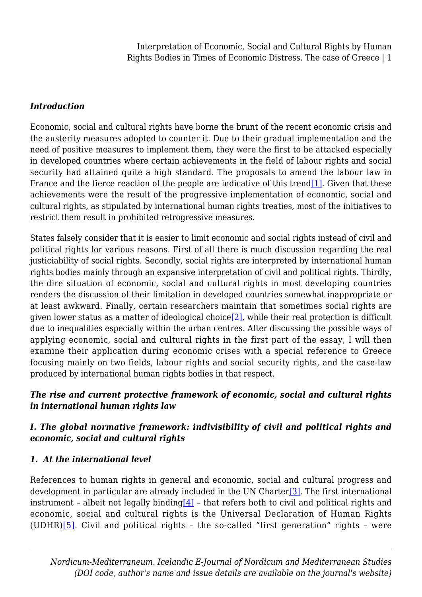### *Introduction*

Economic, social and cultural rights have borne the brunt of the recent economic crisis and the austerity measures adopted to counter it. Due to their gradual implementation and the need of positive measures to implement them, they were the first to be attacked especially in developed countries where certain achievements in the field of labour rights and social security had attained quite a high standard. The proposals to amend the labour law in France and the fierce reaction of the people are indicative of this trend<sup>[1]</sup>. Given that these achievements were the result of the progressive implementation of economic, social and cultural rights, as stipulated by international human rights treaties, most of the initiatives to restrict them result in prohibited retrogressive measures.

<span id="page-0-0"></span>States falsely consider that it is easier to limit economic and social rights instead of civil and political rights for various reasons. First of all there is much discussion regarding the real justiciability of social rights. Secondly, social rights are interpreted by international human rights bodies mainly through an expansive interpretation of civil and political rights. Thirdly, the dire situation of economic, social and cultural rights in most developing countries renders the discussion of their limitation in developed countries somewhat inappropriate or at least awkward. Finally, certain researchers maintain that sometimes social rights are given lower status as a matter of ideological choice<sup>[2]</sup>, while their real protection is difficult due to inequalities especially within the urban centres. After discussing the possible ways of applying economic, social and cultural rights in the first part of the essay, I will then examine their application during economic crises with a special reference to Greece focusing mainly on two fields, labour rights and social security rights, and the case-law produced by international human rights bodies in that respect.

## <span id="page-0-1"></span>*The rise and current protective framework of economic, social and cultural rights in international human rights law*

## *I. The global normative framework: indivisibility of civil and political rights and economic, social and cultural rights*

## *1. At the international level*

<span id="page-0-4"></span><span id="page-0-3"></span><span id="page-0-2"></span>References to human rights in general and economic, social and cultural progress and development in particular are already included in the UN Charter<sup>[3]</sup>. The first international instrument - albeit not legally binding  $[4]$  - that refers both to civil and political rights and economic, social and cultural rights is the Universal Declaration of Human Rights (UDHR) $[5]$ . Civil and political rights - the so-called "first generation" rights - were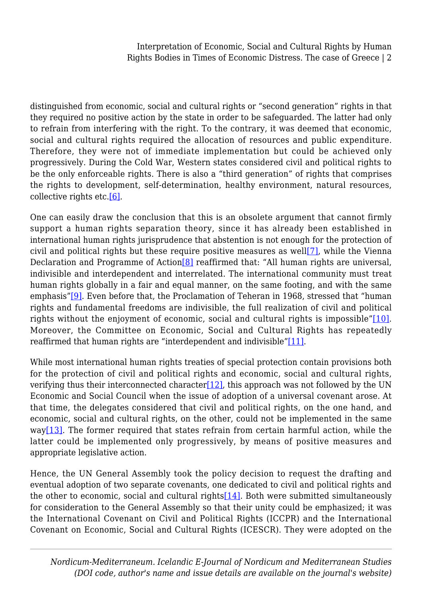distinguished from economic, social and cultural rights or "second generation" rights in that they required no positive action by the state in order to be safeguarded. The latter had only to refrain from interfering with the right. To the contrary, it was deemed that economic, social and cultural rights required the allocation of resources and public expenditure. Therefore, they were not of immediate implementation but could be achieved only progressively. During the Cold War, Western states considered civil and political rights to be the only enforceable rights. There is also a "third generation" of rights that comprises the rights to development, self-determination, healthy environment, natural resources, collective rights etc[.\[6\]](#page-18-5).

<span id="page-1-2"></span><span id="page-1-1"></span><span id="page-1-0"></span>One can easily draw the conclusion that this is an obsolete argument that cannot firmly support a human rights separation theory, since it has already been established in international human rights jurisprudence that abstention is not enough for the protection of civil and political rights but these require positive measures as well[\[7\],](#page-19-0) while the Vienna Declaration and Programme of Action<sup>[\[8\]](#page-19-1)</sup> reaffirmed that: "All human rights are universal, indivisible and interdependent and interrelated. The international community must treat human rights globally in a fair and equal manner, on the same footing, and with the same emphasis"[\[9\]](#page-19-2). Even before that, the Proclamation of Teheran in 1968, stressed that "human rights and fundamental freedoms are indivisible, the full realization of civil and political rights without the enjoyment of economic, social and cultural rights is impossible"[\[10\]](#page-19-3). Moreover, the Committee on Economic, Social and Cultural Rights has repeatedly reaffirmed that human rights are "interdependent and indivisible["\[11\].](#page-19-4)

<span id="page-1-6"></span><span id="page-1-5"></span><span id="page-1-4"></span><span id="page-1-3"></span>While most international human rights treaties of special protection contain provisions both for the protection of civil and political rights and economic, social and cultural rights, verifying thus their interconnected character  $[12]$ , this approach was not followed by the UN Economic and Social Council when the issue of adoption of a universal covenant arose. At that time, the delegates considered that civil and political rights, on the one hand, and economic, social and cultural rights, on the other, could not be implemented in the same way[\[13\]](#page-19-6). The former required that states refrain from certain harmful action, while the latter could be implemented only progressively, by means of positive measures and appropriate legislative action.

<span id="page-1-9"></span><span id="page-1-8"></span><span id="page-1-7"></span>Hence, the UN General Assembly took the policy decision to request the drafting and eventual adoption of two separate covenants, one dedicated to civil and political rights and the other to economic, social and cultural rights  $[14]$ . Both were submitted simultaneously for consideration to the General Assembly so that their unity could be emphasized; it was the International Covenant on Civil and Political Rights (ICCPR) and the International Covenant on Economic, Social and Cultural Rights (ICESCR). They were adopted on the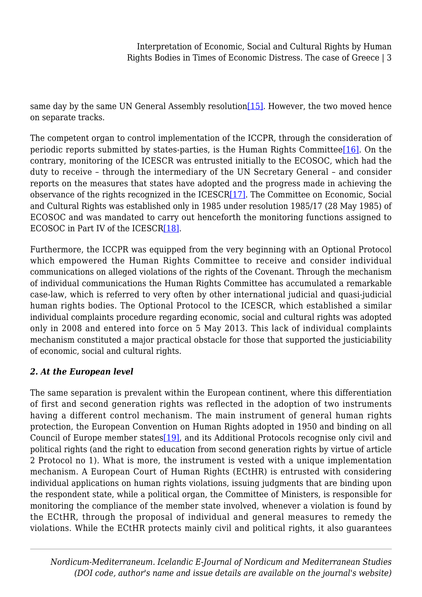same day by the same UN General Assembly resolution  $[15]$ . However, the two moved hence on separate tracks.

<span id="page-2-0"></span>The competent organ to control implementation of the ICCPR, through the consideration of periodic reports submitted by states-parties, is the Human Rights Committee<sup>[16]</sup>. On the contrary, monitoring of the ICESCR was entrusted initially to the ECOSOC, which had the duty to receive – through the intermediary of the UN Secretary General – and consider reports on the measures that states have adopted and the progress made in achieving the observance of the rights recognized in the ICESC[R\[17\]](#page-20-0). The Committee on Economic, Social and Cultural Rights was established only in 1985 under resolution 1985/17 (28 May 1985) of ECOSOC and was mandated to carry out henceforth the monitoring functions assigned to ECOSOC in Part IV of the ICESCR[\[18\].](#page-20-1)

<span id="page-2-2"></span><span id="page-2-1"></span>Furthermore, the ICCPR was equipped from the very beginning with an Optional Protocol which empowered the Human Rights Committee to receive and consider individual communications on alleged violations of the rights of the Covenant. Through the mechanism of individual communications the Human Rights Committee has accumulated a remarkable case-law, which is referred to very often by other international judicial and quasi-judicial human rights bodies. The Optional Protocol to the ICESCR, which established a similar individual complaints procedure regarding economic, social and cultural rights was adopted only in 2008 and entered into force on 5 May 2013. This lack of individual complaints mechanism constituted a major practical obstacle for those that supported the justiciability of economic, social and cultural rights.

## *2. At the European level*

<span id="page-2-3"></span>The same separation is prevalent within the European continent, where this differentiation of first and second generation rights was reflected in the adoption of two instruments having a different control mechanism. The main instrument of general human rights protection, the European Convention on Human Rights adopted in 1950 and binding on all Council of Europe member states[\[19\]](#page-20-2), and its Additional Protocols recognise only civil and political rights (and the right to education from second generation rights by virtue of article 2 Protocol no 1). What is more, the instrument is vested with a unique implementation mechanism. A European Court of Human Rights (ECtHR) is entrusted with considering individual applications on human rights violations, issuing judgments that are binding upon the respondent state, while a political organ, the Committee of Ministers, is responsible for monitoring the compliance of the member state involved, whenever a violation is found by the ECtHR, through the proposal of individual and general measures to remedy the violations. While the ECtHR protects mainly civil and political rights, it also guarantees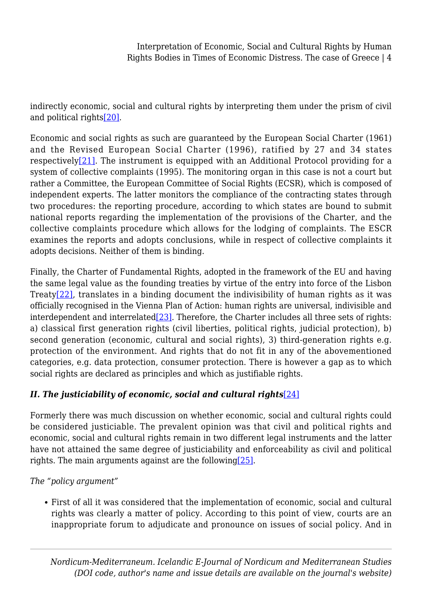<span id="page-3-0"></span>indirectly economic, social and cultural rights by interpreting them under the prism of civil and political rights<sup>[20]</sup>.

<span id="page-3-1"></span>Economic and social rights as such are guaranteed by the European Social Charter (1961) and the Revised European Social Charter (1996), ratified by 27 and 34 states respectively $[21]$ . The instrument is equipped with an Additional Protocol providing for a system of collective complaints (1995). The monitoring organ in this case is not a court but rather a Committee, the European Committee of Social Rights (ECSR), which is composed of independent experts. The latter monitors the compliance of the contracting states through two procedures: the reporting procedure, according to which states are bound to submit national reports regarding the implementation of the provisions of the Charter, and the collective complaints procedure which allows for the lodging of complaints. The ESCR examines the reports and adopts conclusions, while in respect of collective complaints it adopts decisions. Neither of them is binding.

<span id="page-3-3"></span><span id="page-3-2"></span>Finally, the Charter of Fundamental Rights, adopted in the framework of the EU and having the same legal value as the founding treaties by virtue of the entry into force of the Lisbon Treaty[\[22\],](#page-20-5) translates in a binding document the indivisibility of human rights as it was officially recognised in the Vienna Plan of Action: human rights are universal, indivisible and interdependent and interrelated $[23]$ . Therefore, the Charter includes all three sets of rights: a) classical first generation rights (civil liberties, political rights, judicial protection), b) second generation (economic, cultural and social rights), 3) third-generation rights e.g. protection of the environment. And rights that do not fit in any of the abovementioned categories, e.g. data protection, consumer protection. There is however a gap as to which social rights are declared as principles and which as justifiable rights.

## <span id="page-3-4"></span>*II. The justiciability of economic, social and cultural rights*[\[24\]](#page-21-1)

Formerly there was much discussion on whether economic, social and cultural rights could be considered justiciable. The prevalent opinion was that civil and political rights and economic, social and cultural rights remain in two different legal instruments and the latter have not attained the same degree of justiciability and enforceability as civil and political rights. The main arguments against are the following  $[25]$ .

<span id="page-3-5"></span>*The "policy argument"*

First of all it was considered that the implementation of economic, social and cultural rights was clearly a matter of policy. According to this point of view, courts are an inappropriate forum to adjudicate and pronounce on issues of social policy. And in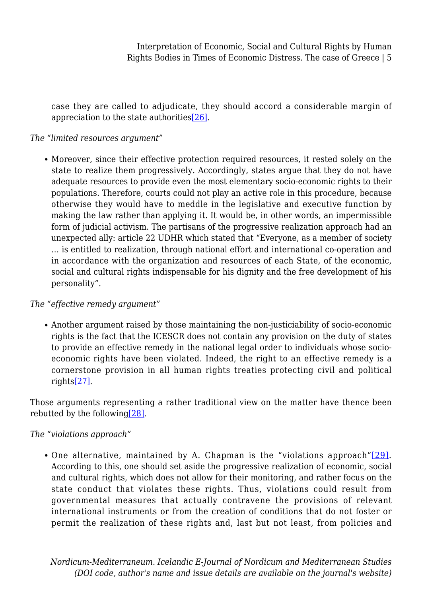case they are called to adjudicate, they should accord a considerable margin of appreciation to the state authoritie[s\[26\]](#page-21-3).

### <span id="page-4-0"></span>*The "limited resources argument"*

Moreover, since their effective protection required resources, it rested solely on the state to realize them progressively. Accordingly, states argue that they do not have adequate resources to provide even the most elementary socio-economic rights to their populations. Therefore, courts could not play an active role in this procedure, because otherwise they would have to meddle in the legislative and executive function by making the law rather than applying it. It would be, in other words, an impermissible form of judicial activism. The partisans of the progressive realization approach had an unexpected ally: article 22 UDHR which stated that "Everyone, as a member of society … is entitled to realization, through national effort and international co-operation and in accordance with the organization and resources of each State, of the economic, social and cultural rights indispensable for his dignity and the free development of his personality".

### *The "effective remedy argument"*

Another argument raised by those maintaining the non-justiciability of socio-economic rights is the fact that the ICESCR does not contain any provision on the duty of states to provide an effective remedy in the national legal order to individuals whose socioeconomic rights have been violated. Indeed, the right to an effective remedy is a cornerstone provision in all human rights treaties protecting civil and political rights[\[27\]](#page-22-0).

<span id="page-4-2"></span><span id="page-4-1"></span>Those arguments representing a rather traditional view on the matter have thence been rebutted by the followin[g\[28\].](#page-22-1)

### <span id="page-4-3"></span>*The "violations approach"*

One alternative, maintained by A. Chapman is the "violations approach"[\[29\].](#page-22-2) According to this, one should set aside the progressive realization of economic, social and cultural rights, which does not allow for their monitoring, and rather focus on the state conduct that violates these rights. Thus, violations could result from governmental measures that actually contravene the provisions of relevant international instruments or from the creation of conditions that do not foster or permit the realization of these rights and, last but not least, from policies and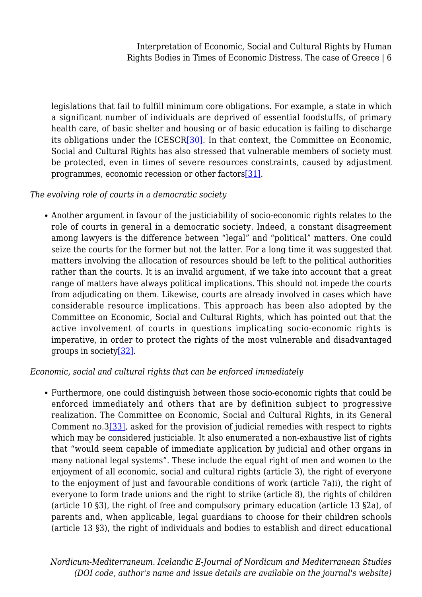<span id="page-5-0"></span>legislations that fail to fulfill minimum core obligations. For example, a state in which a significant number of individuals are deprived of essential foodstuffs, of primary health care, of basic shelter and housing or of basic education is failing to discharge its obligations under the ICESC[R\[30\]](#page-22-3). In that context, the Committee on Economic, Social and Cultural Rights has also stressed that vulnerable members of society must be protected, even in times of severe resources constraints, caused by adjustment programmes, economic recession or other factors[\[31\].](#page-22-4)

### <span id="page-5-1"></span>*The evolving role of courts in a democratic society*

Another argument in favour of the justiciability of socio-economic rights relates to the role of courts in general in a democratic society. Indeed, a constant disagreement among lawyers is the difference between "legal" and "political" matters. One could seize the courts for the former but not the latter. For a long time it was suggested that matters involving the allocation of resources should be left to the political authorities rather than the courts. It is an invalid argument, if we take into account that a great range of matters have always political implications. This should not impede the courts from adjudicating on them. Likewise, courts are already involved in cases which have considerable resource implications. This approach has been also adopted by the Committee on Economic, Social and Cultural Rights, which has pointed out that the active involvement of courts in questions implicating socio-economic rights is imperative, in order to protect the rights of the most vulnerable and disadvantaged groups in societ[y\[32\]](#page-22-5).

### <span id="page-5-2"></span>*Economic, social and cultural rights that can be enforced immediately*

<span id="page-5-3"></span>Furthermore, one could distinguish between those socio-economic rights that could be enforced immediately and others that are by definition subject to progressive realization. The Committee on Economic, Social and Cultural Rights, in its General Comment no.[3\[33\],](#page-22-6) asked for the provision of judicial remedies with respect to rights which may be considered justiciable. It also enumerated a non-exhaustive list of rights that "would seem capable of immediate application by judicial and other organs in many national legal systems". These include the equal right of men and women to the enjoyment of all economic, social and cultural rights (article 3), the right of everyone to the enjoyment of just and favourable conditions of work (article 7a)i), the right of everyone to form trade unions and the right to strike (article 8), the rights of children (article 10 §3), the right of free and compulsory primary education (article 13 §2a), of parents and, when applicable, legal guardians to choose for their children schools (article 13 §3), the right of individuals and bodies to establish and direct educational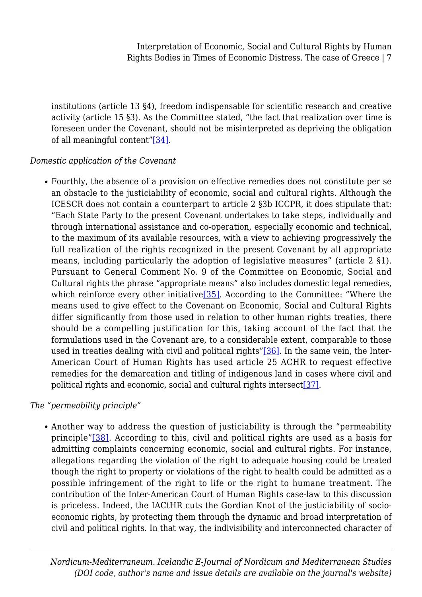institutions (article 13 §4), freedom indispensable for scientific research and creative activity (article 15 §3). As the Committee stated, "the fact that realization over time is foreseen under the Covenant, should not be misinterpreted as depriving the obligation of all meaningful content["\[34\].](#page-22-7)

### <span id="page-6-0"></span>*Domestic application of the Covenant*

Fourthly, the absence of a provision on effective remedies does not constitute per se an obstacle to the justiciability of economic, social and cultural rights. Although the ICESCR does not contain a counterpart to article 2 §3b ICCPR, it does stipulate that: "Each State Party to the present Covenant undertakes to take steps, individually and through international assistance and co-operation, especially economic and technical, to the maximum of its available resources, with a view to achieving progressively the full realization of the rights recognized in the present Covenant by all appropriate means, including particularly the adoption of legislative measures" (article 2 §1). Pursuant to General Comment No. 9 of the Committee on Economic, Social and Cultural rights the phrase "appropriate means" also includes domestic legal remedies, which reinforce every other initiative  $[35]$ . According to the Committee: "Where the means used to give effect to the Covenant on Economic, Social and Cultural Rights differ significantly from those used in relation to other human rights treaties, there should be a compelling justification for this, taking account of the fact that the formulations used in the Covenant are, to a considerable extent, comparable to those used in treaties dealing with civil and political rights"[\[36\]](#page-23-1). In the same vein, the Inter-American Court of Human Rights has used article 25 ACHR to request effective remedies for the demarcation and titling of indigenous land in cases where civil and political rights and economic, social and cultural rights intersect[\[37\].](#page-23-2)

### <span id="page-6-4"></span><span id="page-6-3"></span><span id="page-6-2"></span><span id="page-6-1"></span>*The "permeability principle"*

Another way to address the question of justiciability is through the "permeability principle"[\[38\].](#page-23-3) According to this, civil and political rights are used as a basis for admitting complaints concerning economic, social and cultural rights. For instance, allegations regarding the violation of the right to adequate housing could be treated though the right to property or violations of the right to health could be admitted as a possible infringement of the right to life or the right to humane treatment. The contribution of the Inter-American Court of Human Rights case-law to this discussion is priceless. Indeed, the IACtHR cuts the Gordian Knot of the justiciability of socioeconomic rights, by protecting them through the dynamic and broad interpretation of civil and political rights. In that way, the indivisibility and interconnected character of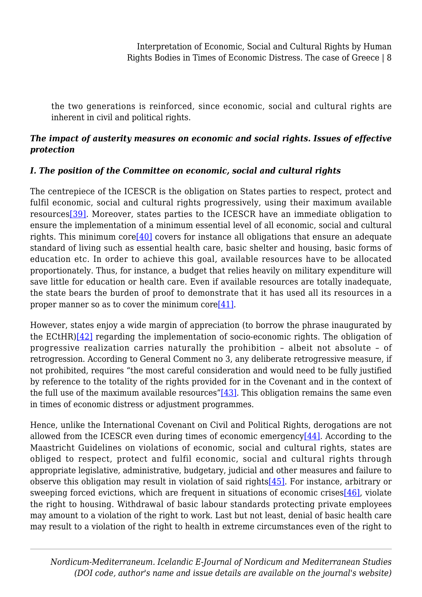the two generations is reinforced, since economic, social and cultural rights are inherent in civil and political rights.

## *The impact of austerity measures on economic and social rights. Issues of effective protection*

## *I. The position of the Committee on economic, social and cultural rights*

<span id="page-7-1"></span><span id="page-7-0"></span>The centrepiece of the ICESCR is the obligation on States parties to respect, protect and fulfil economic, social and cultural rights progressively, using their maximum available resource[s\[39\].](#page-23-4) Moreover, states parties to the ICESCR have an immediate obligation to ensure the implementation of a minimum essential level of all economic, social and cultural rights. This minimum core<sup>[40]</sup> covers for instance all obligations that ensure an adequate standard of living such as essential health care, basic shelter and housing, basic forms of education etc. In order to achieve this goal, available resources have to be allocated proportionately. Thus, for instance, a budget that relies heavily on military expenditure will save little for education or health care. Even if available resources are totally inadequate, the state bears the burden of proof to demonstrate that it has used all its resources in a proper manner so as to cover the minimum core[ $41$ ].

<span id="page-7-3"></span><span id="page-7-2"></span>However, states enjoy a wide margin of appreciation (to borrow the phrase inaugurated by the ECtHR)[\[42\]](#page-23-7) regarding the implementation of socio-economic rights. The obligation of progressive realization carries naturally the prohibition – albeit not absolute – of retrogression. According to General Comment no 3, any deliberate retrogressive measure, if not prohibited, requires "the most careful consideration and would need to be fully justified by reference to the totality of the rights provided for in the Covenant and in the context of the full use of the maximum available resources" $[43]$ . This obligation remains the same even in times of economic distress or adjustment programmes.

<span id="page-7-7"></span><span id="page-7-6"></span><span id="page-7-5"></span><span id="page-7-4"></span>Hence, unlike the International Covenant on Civil and Political Rights, derogations are not allowed from the ICESCR even during times of economic emergency[\[44\].](#page-23-9) According to the Maastricht Guidelines on violations of economic, social and cultural rights, states are obliged to respect, protect and fulfil economic, social and cultural rights through appropriate legislative, administrative, budgetary, judicial and other measures and failure to observe this obligation may result in violation of said rights[\[45\].](#page-24-0) For instance, arbitrary or sweeping forced evictions, which are frequent in situations of economic crise[s\[46\],](#page-24-1) violate the right to housing. Withdrawal of basic labour standards protecting private employees may amount to a violation of the right to work. Last but not least, denial of basic health care may result to a violation of the right to health in extreme circumstances even of the right to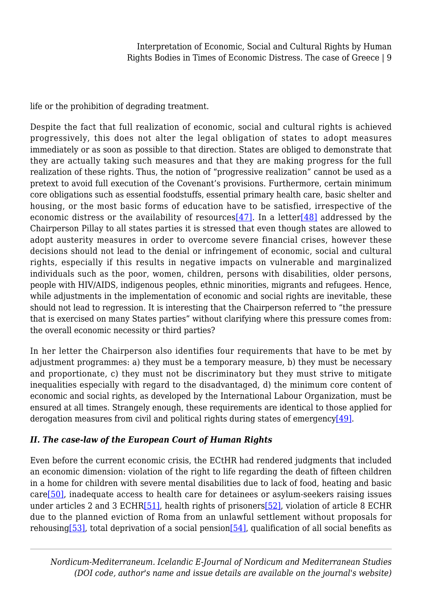life or the prohibition of degrading treatment.

<span id="page-8-0"></span>Despite the fact that full realization of economic, social and cultural rights is achieved progressively, this does not alter the legal obligation of states to adopt measures immediately or as soon as possible to that direction. States are obliged to demonstrate that they are actually taking such measures and that they are making progress for the full realization of these rights. Thus, the notion of "progressive realization" cannot be used as a pretext to avoid full execution of the Covenant's provisions. Furthermore, certain minimum core obligations such as essential foodstuffs, essential primary health care, basic shelter and housing, or the most basic forms of education have to be satisfied, irrespective of the economic distress or the availability of resources [\[47\]](#page-24-2). In a letter [48] addressed by the Chairperson Pillay to all states parties it is stressed that even though states are allowed to adopt austerity measures in order to overcome severe financial crises, however these decisions should not lead to the denial or infringement of economic, social and cultural rights, especially if this results in negative impacts on vulnerable and marginalized individuals such as the poor, women, children, persons with disabilities, older persons, people with HIV/AIDS, indigenous peoples, ethnic minorities, migrants and refugees. Hence, while adjustments in the implementation of economic and social rights are inevitable, these should not lead to regression. It is interesting that the Chairperson referred to "the pressure that is exercised on many States parties" without clarifying where this pressure comes from: the overall economic necessity or third parties?

In her letter the Chairperson also identifies four requirements that have to be met by adjustment programmes: a) they must be a temporary measure, b) they must be necessary and proportionate, c) they must not be discriminatory but they must strive to mitigate inequalities especially with regard to the disadvantaged, d) the minimum core content of economic and social rights, as developed by the International Labour Organization, must be ensured at all times. Strangely enough, these requirements are identical to those applied for derogation measures from civil and political rights during states of emergenc[y\[49\]](#page-24-4).

## <span id="page-8-1"></span>*II. The case-law of the European Court of Human Rights*

<span id="page-8-4"></span><span id="page-8-3"></span><span id="page-8-2"></span>Even before the current economic crisis, the ECtHR had rendered judgments that included an economic dimension: violation of the right to life regarding the death of fifteen children in a home for children with severe mental disabilities due to lack of food, heating and basic car[e\[50\],](#page-24-5) inadequate access to health care for detainees or asylum-seekers raising issues under articles 2 and 3 ECHR $[51]$ , health rights of prisoners $[52]$ , violation of article 8 ECHR due to the planned eviction of Roma from an unlawful settlement without proposals for rehousing[\[53\],](#page-24-8) total deprivation of a social pension[\[54\]](#page-24-9), qualification of all social benefits as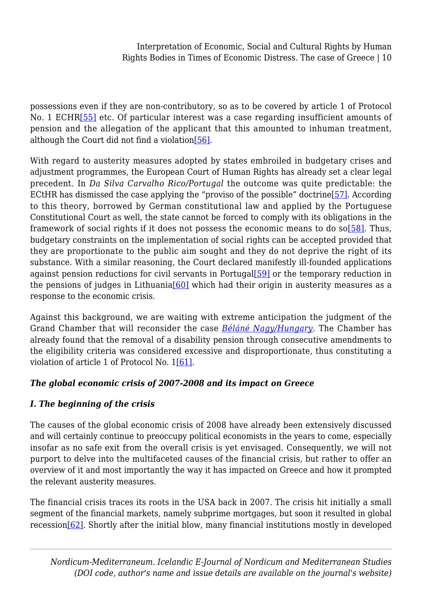<span id="page-9-0"></span>possessions even if they are non-contributory, so as to be covered by article 1 of Protocol No. 1 ECHR<sup>[\[55\]](#page-24-10)</sup> etc. Of particular interest was a case regarding insufficient amounts of pension and the allegation of the applicant that this amounted to inhuman treatment, although the Court did not find a violation [\[56\]](#page-25-0).

<span id="page-9-3"></span><span id="page-9-2"></span><span id="page-9-1"></span>With regard to austerity measures adopted by states embroiled in budgetary crises and adjustment programmes, the European Court of Human Rights has already set a clear legal precedent. In *Da Silva Carvalho Rico/Portugal* the outcome was quite predictable: the ECtHR has dismissed the case applying the "proviso of the possible" doctrine[\[57\]](#page-25-1). According to this theory, borrowed by German constitutional law and applied by the Portuguese Constitutional Court as well, the state cannot be forced to comply with its obligations in the framework of social rights if it does not possess the economic means to do so $[58]$ . Thus, budgetary constraints on the implementation of social rights can be accepted provided that they are proportionate to the public aim sought and they do not deprive the right of its substance. With a similar reasoning, the Court declared manifestly ill-founded applications against pension reductions for civil servants in Portugal $[59]$  or the temporary reduction in the pensions of judges in Lithuania<sup>[\[60\]](#page-25-4)</sup> which had their origin in austerity measures as a response to the economic crisis.

<span id="page-9-5"></span><span id="page-9-4"></span>Against this background, we are waiting with extreme anticipation the judgment of the Grand Chamber that will reconsider the case *[Béláné Nagy/Hungary](http://hudoc.echr.coe.int/eng?i=001-150998).* The Chamber has already found that the removal of a disability pension through consecutive amendments to the eligibility criteria was considered excessive and disproportionate, thus constituting a violation of article 1 of Protocol No. 1[\[61\]](#page-25-5).

## <span id="page-9-6"></span>*The global economic crisis of 2007-2008 and its impact on Greece*

## *I. The beginning of the crisis*

The causes of the global economic crisis of 2008 have already been extensively discussed and will certainly continue to preoccupy political economists in the years to come, especially insofar as no safe exit from the overall crisis is yet envisaged. Consequently, we will not purport to delve into the multifaceted causes of the financial crisis, but rather to offer an overview of it and most importantly the way it has impacted on Greece and how it prompted the relevant austerity measures.

<span id="page-9-7"></span>The financial crisis traces its roots in the USA back in 2007. The crisis hit initially a small segment of the financial markets, namely subprime mortgages, but soon it resulted in global recession[\[62\]](#page-25-6). Shortly after the initial blow, many financial institutions mostly in developed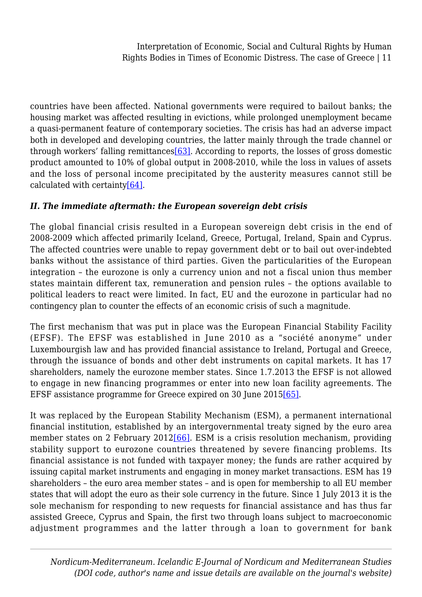<span id="page-10-0"></span>countries have been affected. National governments were required to bailout banks; the housing market was affected resulting in evictions, while prolonged unemployment became a quasi-permanent feature of contemporary societies. The crisis has had an adverse impact both in developed and developing countries, the latter mainly through the trade channel or through workers' falling remittances  $[63]$ . According to reports, the losses of gross domestic product amounted to 10% of global output in 2008-2010, while the loss in values of assets and the loss of personal income precipitated by the austerity measures cannot still be calculated with certaint[y\[64\]](#page-25-8).

## <span id="page-10-1"></span>*II. The immediate aftermath: the European sovereign debt crisis*

The global financial crisis resulted in a European sovereign debt crisis in the end of 2008-2009 which affected primarily Iceland, Greece, Portugal, Ireland, Spain and Cyprus. The affected countries were unable to repay government debt or to bail out over-indebted banks without the assistance of third parties. Given the particularities of the European integration – the eurozone is only a currency union and not a fiscal union thus member states maintain different tax, remuneration and pension rules – the options available to political leaders to react were limited. In fact, EU and the eurozone in particular had no contingency plan to counter the effects of an economic crisis of such a magnitude.

The first mechanism that was put in place was the European Financial Stability Facility (EFSF). The EFSF was established in June 2010 as a "société anonyme" under Luxembourgish law and has provided financial assistance to Ireland, Portugal and Greece, through the issuance of bonds and other debt instruments on capital markets. It has 17 shareholders, namely the eurozone member states. Since 1.7.2013 the EFSF is not allowed to engage in new financing programmes or enter into new loan facility agreements. The EFSF assistance programme for Greece expired on 30 June 201[5\[65\].](#page-26-0)

<span id="page-10-3"></span><span id="page-10-2"></span>It was replaced by the European Stability Mechanism (ESM), a permanent international financial institution, established by an intergovernmental treaty signed by the euro area member states on 2 February 2012[\[66\].](#page-26-1) ESM is a crisis resolution mechanism, providing stability support to eurozone countries threatened by severe financing problems. Its financial assistance is not funded with taxpayer money; the funds are rather acquired by issuing capital market instruments and engaging in money market transactions. ESM has 19 shareholders – the euro area member states – and is open for membership to all EU member states that will adopt the euro as their sole currency in the future. Since 1 July 2013 it is the sole mechanism for responding to new requests for financial assistance and has thus far assisted Greece, Cyprus and Spain, the first two through loans subject to macroeconomic adjustment programmes and the latter through a loan to government for bank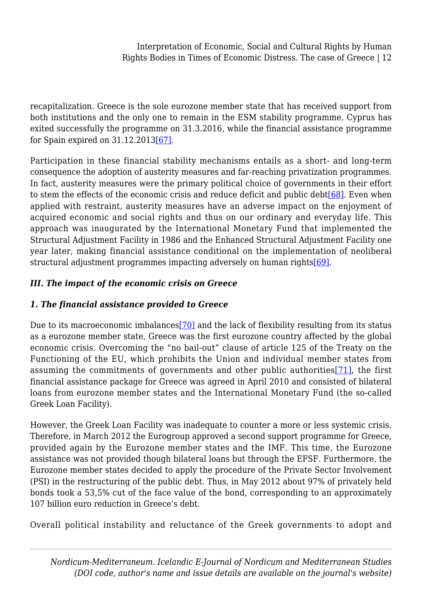recapitalization. Greece is the sole eurozone member state that has received support from both institutions and the only one to remain in the ESM stability programme. Cyprus has exited successfully the programme on 31.3.2016, while the financial assistance programme for Spain expired on 31.12.2013[\[67\].](#page-26-2)

<span id="page-11-1"></span><span id="page-11-0"></span>Participation in these financial stability mechanisms entails as a short- and long-term consequence the adoption of austerity measures and far-reaching privatization programmes. In fact, austerity measures were the primary political choice of governments in their effort to stem the effects of the economic crisis and reduce deficit and public debt<sup>[\[68\]](#page-26-3)</sup>. Even when applied with restraint, austerity measures have an adverse impact on the enjoyment of acquired economic and social rights and thus on our ordinary and everyday life. This approach was inaugurated by the International Monetary Fund that implemented the Structural Adjustment Facility in 1986 and the Enhanced Structural Adjustment Facility one year later, making financial assistance conditional on the implementation of neoliberal structural adjustment programmes impacting adversely on human right[s\[69\].](#page-26-4)

## <span id="page-11-2"></span>*III. The impact of the economic crisis on Greece*

## *1. The financial assistance provided to Greece*

<span id="page-11-4"></span><span id="page-11-3"></span>Due to its macroeconomic imbalances<sup>[\[70\]](#page-26-5)</sup> and the lack of flexibility resulting from its status as a eurozone member state, Greece was the first eurozone country affected by the global economic crisis. Overcoming the "no bail-out" clause of article 125 of the Treaty on the Functioning of the EU, which prohibits the Union and individual member states from assuming the commitments of governments and other public authorities[\[71\]](#page-26-6), the first financial assistance package for Greece was agreed in April 2010 and consisted of bilateral loans from eurozone member states and the International Monetary Fund (the so-called Greek Loan Facility).

However, the Greek Loan Facility was inadequate to counter a more or less systemic crisis. Therefore, in March 2012 the Eurogroup approved a second support programme for Greece, provided again by the Eurozone member states and the IMF. This time, the Eurozone assistance was not provided though bilateral loans but through the EFSF. Furthermore, the Eurozone member states decided to apply the procedure of the Private Sector Involvement (PSI) in the restructuring of the public debt. Thus, in May 2012 about 97% of privately held bonds took a 53,5% cut of the face value of the bond, corresponding to an approximately 107 billion euro reduction in Greece's debt.

Overall political instability and reluctance of the Greek governments to adopt and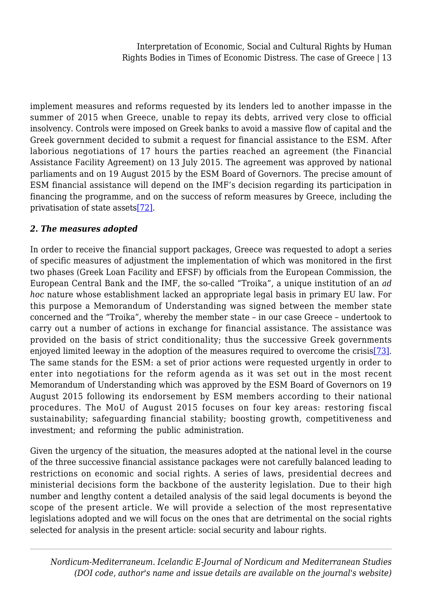implement measures and reforms requested by its lenders led to another impasse in the summer of 2015 when Greece, unable to repay its debts, arrived very close to official insolvency. Controls were imposed on Greek banks to avoid a massive flow of capital and the Greek government decided to submit a request for financial assistance to the ESM. After laborious negotiations of 17 hours the parties reached an agreement (the Financial Assistance Facility Agreement) on 13 July 2015. The agreement was approved by national parliaments and on 19 August 2015 by the ESM Board of Governors. The precise amount of ESM financial assistance will depend on the IMF's decision regarding its participation in financing the programme, and on the success of reform measures by Greece, including the privatisation of state asset[s\[72\]](#page-26-7).

### <span id="page-12-0"></span>*2. The measures adopted*

In order to receive the financial support packages, Greece was requested to adopt a series of specific measures of adjustment the implementation of which was monitored in the first two phases (Greek Loan Facility and EFSF) by officials from the European Commission, the European Central Bank and the IMF, the so-called "Troika", a unique institution of an *ad hoc* nature whose establishment lacked an appropriate legal basis in primary EU law. For this purpose a Memorandum of Understanding was signed between the member state concerned and the "Troika", whereby the member state – in our case Greece – undertook to carry out a number of actions in exchange for financial assistance. The assistance was provided on the basis of strict conditionality; thus the successive Greek governments enjoyed limited leeway in the adoption of the measures required to overcome the crisis[\[73\]](#page-26-8). The same stands for the ESM: a set of prior actions were requested urgently in order to enter into negotiations for the reform agenda as it was set out in the most recent Memorandum of Understanding which was approved by the ESM Board of Governors on 19 August 2015 following its endorsement by ESM members according to their national procedures. The MoU of August 2015 focuses on four key areas: restoring fiscal sustainability; safeguarding financial stability; boosting growth, competitiveness and investment; and reforming the public administration.

<span id="page-12-1"></span>Given the urgency of the situation, the measures adopted at the national level in the course of the three successive financial assistance packages were not carefully balanced leading to restrictions on economic and social rights. A series of laws, presidential decrees and ministerial decisions form the backbone of the austerity legislation. Due to their high number and lengthy content a detailed analysis of the said legal documents is beyond the scope of the present article. We will provide a selection of the most representative legislations adopted and we will focus on the ones that are detrimental on the social rights selected for analysis in the present article: social security and labour rights.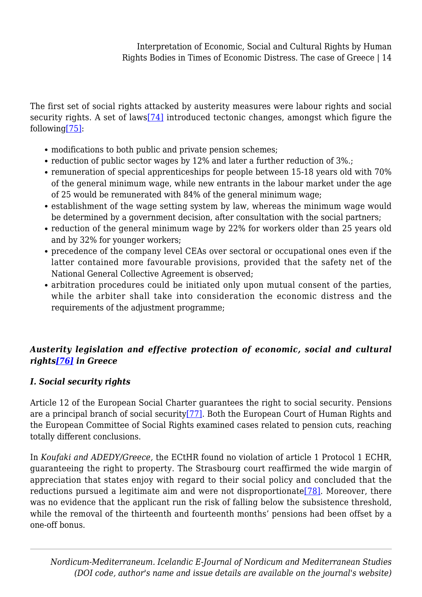<span id="page-13-1"></span><span id="page-13-0"></span>The first set of social rights attacked by austerity measures were labour rights and social security rights. A set of laws[\[74\]](#page-26-9) introduced tectonic changes, amongst which figure the followin[g\[75\]](#page-27-0):

- modifications to both public and private pension schemes;
- reduction of public sector wages by 12% and later a further reduction of 3%.;
- remuneration of special apprenticeships for people between 15-18 years old with 70% of the general minimum wage, while new entrants in the labour market under the age of 25 would be remunerated with 84% of the general minimum wage;
- establishment of the wage setting system by law, whereas the minimum wage would be determined by a government decision, after consultation with the social partners;
- reduction of the general minimum wage by 22% for workers older than 25 years old and by 32% for younger workers;
- precedence of the company level CEAs over sectoral or occupational ones even if the latter contained more favourable provisions, provided that the safety net of the National General Collective Agreement is observed;
- arbitration procedures could be initiated only upon mutual consent of the parties, while the arbiter shall take into consideration the economic distress and the requirements of the adjustment programme;

## <span id="page-13-2"></span>*Austerity legislation and effective protection of economic, social and cultural rights[\[76\]](#page-27-1) in Greece*

## *I. Social security rights*

<span id="page-13-3"></span>Article 12 of the European Social Charter guarantees the right to social security. Pensions are a principal branch of social security[\[77\]](#page-27-2). Both the European Court of Human Rights and the European Committee of Social Rights examined cases related to pension cuts, reaching totally different conclusions.

<span id="page-13-4"></span>In *Koufaki and ADEDY/Greece,* the ECtHR found no violation of article 1 Protocol 1 ECHR, guaranteeing the right to property. The Strasbourg court reaffirmed the wide margin of appreciation that states enjoy with regard to their social policy and concluded that the reductions pursued a legitimate aim and were not disproportionate  $[78]$ . Moreover, there was no evidence that the applicant run the risk of falling below the subsistence threshold, while the removal of the thirteenth and fourteenth months' pensions had been offset by a one-off bonus.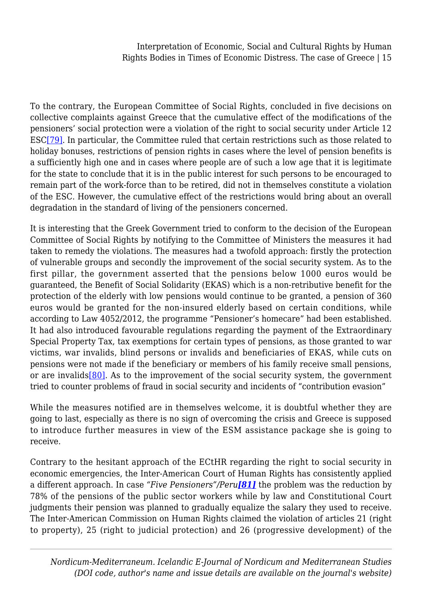<span id="page-14-0"></span>To the contrary, the European Committee of Social Rights, concluded in five decisions on collective complaints against Greece that the cumulative effect of the modifications of the pensioners' social protection were a violation of the right to social security under Article 12 ES[C\[79\]](#page-27-4). In particular, the Committee ruled that certain restrictions such as those related to holiday bonuses, restrictions of pension rights in cases where the level of pension benefits is a sufficiently high one and in cases where people are of such a low age that it is legitimate for the state to conclude that it is in the public interest for such persons to be encouraged to remain part of the work-force than to be retired, did not in themselves constitute a violation of the ESC. However, the cumulative effect of the restrictions would bring about an overall degradation in the standard of living of the pensioners concerned.

It is interesting that the Greek Government tried to conform to the decision of the European Committee of Social Rights by notifying to the Committee of Ministers the measures it had taken to remedy the violations. The measures had a twofold approach: firstly the protection of vulnerable groups and secondly the improvement of the social security system. As to the first pillar, the government asserted that the pensions below 1000 euros would be guaranteed, the Benefit of Social Solidarity (EKAS) which is a non-retributive benefit for the protection of the elderly with low pensions would continue to be granted, a pension of 360 euros would be granted for the non-insured elderly based on certain conditions, while according to Law 4052/2012, the programme "Pensioner's homecare" had been established. It had also introduced favourable regulations regarding the payment of the Extraordinary Special Property Tax, tax exemptions for certain types of pensions, as those granted to war victims, war invalids, blind persons or invalids and beneficiaries of EKAS, while cuts on pensions were not made if the beneficiary or members of his family receive small pensions, or are invalids  $[80]$ . As to the improvement of the social security system, the government tried to counter problems of fraud in social security and incidents of "contribution evasion"

<span id="page-14-1"></span>While the measures notified are in themselves welcome, it is doubtful whether they are going to last, especially as there is no sign of overcoming the crisis and Greece is supposed to introduce further measures in view of the ESM assistance package she is going to receive.

<span id="page-14-2"></span>Contrary to the hesitant approach of the ECtHR regarding the right to social security in economic emergencies, the Inter-American Court of Human Rights has consistently applied a different approach. In case *"Five Pensioners"/Peru[\[81\]](#page-27-6)* the problem was the reduction by 78% of the pensions of the public sector workers while by law and Constitutional Court judgments their pension was planned to gradually equalize the salary they used to receive. The Inter-American Commission on Human Rights claimed the violation of articles 21 (right to property), 25 (right to judicial protection) and 26 (progressive development) of the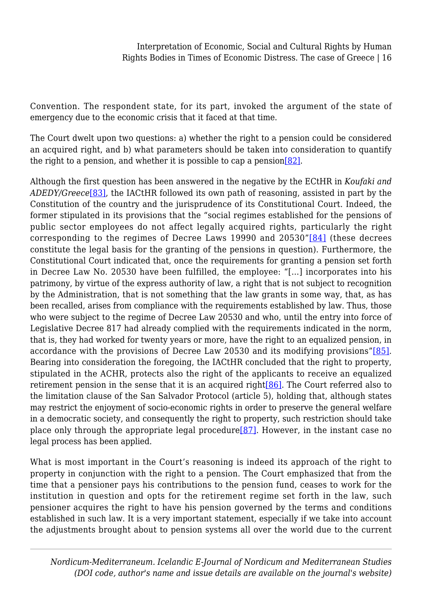Convention. The respondent state, for its part, invoked the argument of the state of emergency due to the economic crisis that it faced at that time.

The Court dwelt upon two questions: a) whether the right to a pension could be considered an acquired right, and b) what parameters should be taken into consideration to quantify the right to a pension, and whether it is possible to cap a pension  $[82]$ .

<span id="page-15-2"></span><span id="page-15-1"></span><span id="page-15-0"></span>Although the first question has been answered in the negative by the ECtHR in *Koufaki and ADEDY/Greece*[\[83\]](#page-27-8), the IACtHR followed its own path of reasoning, assisted in part by the Constitution of the country and the jurisprudence of its Constitutional Court. Indeed, the former stipulated in its provisions that the "social regimes established for the pensions of public sector employees do not affect legally acquired rights, particularly the right corresponding to the regimes of Decree Laws 19990 and 20530"[\[84\]](#page-27-9) (these decrees constitute the legal basis for the granting of the pensions in question). Furthermore, the Constitutional Court indicated that, once the requirements for granting a pension set forth in Decree Law No. 20530 have been fulfilled, the employee: "[…] incorporates into his patrimony, by virtue of the express authority of law, a right that is not subject to recognition by the Administration, that is not something that the law grants in some way, that, as has been recalled, arises from compliance with the requirements established by law. Thus, those who were subject to the regime of Decree Law 20530 and who, until the entry into force of Legislative Decree 817 had already complied with the requirements indicated in the norm, that is, they had worked for twenty years or more, have the right to an equalized pension, in accordance with the provisions of Decree Law 20530 and its modifying provisions"[\[85\]](#page-27-10). Bearing into consideration the foregoing, the IACtHR concluded that the right to property, stipulated in the ACHR, protects also the right of the applicants to receive an equalized retirement pension in the sense that it is an acquired right[\[86\]](#page-28-0). The Court referred also to the limitation clause of the San Salvador Protocol (article 5), holding that, although states may restrict the enjoyment of socio-economic rights in order to preserve the general welfare in a democratic society, and consequently the right to property, such restriction should take place only through the appropriate legal procedure[\[87\].](#page-28-1) However, in the instant case no legal process has been applied.

<span id="page-15-6"></span><span id="page-15-5"></span><span id="page-15-4"></span><span id="page-15-3"></span>What is most important in the Court's reasoning is indeed its approach of the right to property in conjunction with the right to a pension. The Court emphasized that from the time that a pensioner pays his contributions to the pension fund, ceases to work for the institution in question and opts for the retirement regime set forth in the law, such pensioner acquires the right to have his pension governed by the terms and conditions established in such law. It is a very important statement, especially if we take into account the adjustments brought about to pension systems all over the world due to the current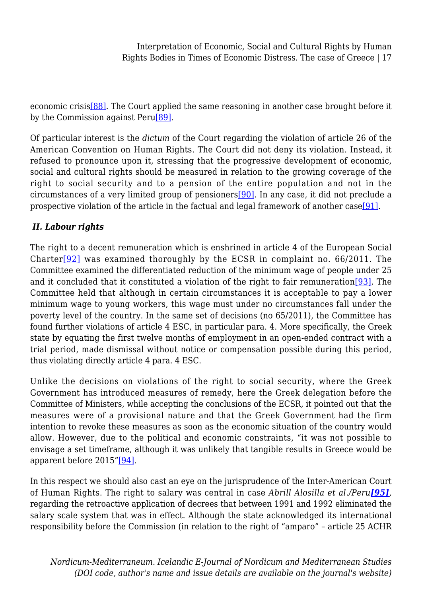<span id="page-16-0"></span>economic crisi[s\[88\].](#page-28-2) The Court applied the same reasoning in another case brought before it by the Commission against Per[u\[89\].](#page-28-3)

Of particular interest is the *dictum* of the Court regarding the violation of article 26 of the American Convention on Human Rights. The Court did not deny its violation. Instead, it refused to pronounce upon it, stressing that the progressive development of economic, social and cultural rights should be measured in relation to the growing coverage of the right to social security and to a pension of the entire population and not in the circumstances of a very limited group of pensioners[\[90\].](#page-28-4) In any case, it did not preclude a prospective violation of the article in the factual and legal framework of another cas[e\[91\].](#page-28-5)

## <span id="page-16-2"></span><span id="page-16-1"></span>*II. Labour rights*

<span id="page-16-4"></span><span id="page-16-3"></span>The right to a decent remuneration which is enshrined in article 4 of the European Social Charter[\[92\]](#page-28-6) was examined thoroughly by the ECSR in complaint no. 66/2011. The Committee examined the differentiated reduction of the minimum wage of people under 25 and it concluded that it constituted a violation of the right to fair remuneration[\[93\].](#page-28-7) The Committee held that although in certain circumstances it is acceptable to pay a lower minimum wage to young workers, this wage must under no circumstances fall under the poverty level of the country. In the same set of decisions (no 65/2011), the Committee has found further violations of article 4 ESC, in particular para. 4. More specifically, the Greek state by equating the first twelve months of employment in an open-ended contract with a trial period, made dismissal without notice or compensation possible during this period, thus violating directly article 4 para. 4 ESC.

Unlike the decisions on violations of the right to social security, where the Greek Government has introduced measures of remedy, here the Greek delegation before the Committee of Ministers, while accepting the conclusions of the ECSR, it pointed out that the measures were of a provisional nature and that the Greek Government had the firm intention to revoke these measures as soon as the economic situation of the country would allow. However, due to the political and economic constraints, "it was not possible to envisage a set timeframe, although it was unlikely that tangible results in Greece would be apparent before 2015["\[94\]](#page-29-0).

<span id="page-16-6"></span><span id="page-16-5"></span>In this respect we should also cast an eye on the jurisprudence of the Inter-American Court of Human Rights. The right to salary was central in case *Abrill Alosilla et al./Peru[\[95\]](#page-29-1),* regarding the retroactive application of decrees that between 1991 and 1992 eliminated the salary scale system that was in effect. Although the state acknowledged its international responsibility before the Commission (in relation to the right of "amparo" – article 25 ACHR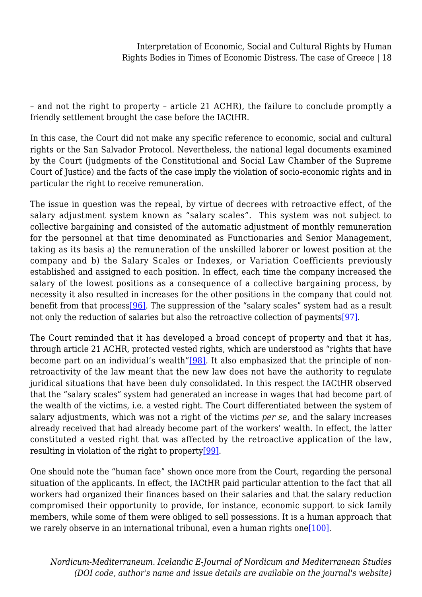– and not the right to property – article 21 ACHR), the failure to conclude promptly a friendly settlement brought the case before the IACtHR.

In this case, the Court did not make any specific reference to economic, social and cultural rights or the San Salvador Protocol. Nevertheless, the national legal documents examined by the Court (judgments of the Constitutional and Social Law Chamber of the Supreme Court of Justice) and the facts of the case imply the violation of socio-economic rights and in particular the right to receive remuneration.

The issue in question was the repeal, by virtue of decrees with retroactive effect, of the salary adjustment system known as "salary scales". This system was not subject to collective bargaining and consisted of the automatic adjustment of monthly remuneration for the personnel at that time denominated as Functionaries and Senior Management, taking as its basis a) the remuneration of the unskilled laborer or lowest position at the company and b) the Salary Scales or Indexes, or Variation Coefficients previously established and assigned to each position. In effect, each time the company increased the salary of the lowest positions as a consequence of a collective bargaining process, by necessity it also resulted in increases for the other positions in the company that could not benefit from that proces[s\[96\].](#page-29-2) The suppression of the "salary scales" system had as a result not only the reduction of salaries but also the retroactive collection of payment[s\[97\].](#page-29-3)

<span id="page-17-2"></span><span id="page-17-1"></span><span id="page-17-0"></span>The Court reminded that it has developed a broad concept of property and that it has, through article 21 ACHR, protected vested rights, which are understood as "rights that have become part on an individual's wealth["\[98\]](#page-29-4). It also emphasized that the principle of nonretroactivity of the law meant that the new law does not have the authority to regulate juridical situations that have been duly consolidated. In this respect the IACtHR observed that the "salary scales" system had generated an increase in wages that had become part of the wealth of the victims, i.e. a vested right. The Court differentiated between the system of salary adjustments, which was not a right of the victims *per se,* and the salary increases already received that had already become part of the workers' wealth. In effect, the latter constituted a vested right that was affected by the retroactive application of the law, resulting in violation of the right to property<sup>[99]</sup>.

<span id="page-17-4"></span><span id="page-17-3"></span>One should note the "human face" shown once more from the Court, regarding the personal situation of the applicants. In effect, the IACtHR paid particular attention to the fact that all workers had organized their finances based on their salaries and that the salary reduction compromised their opportunity to provide, for instance, economic support to sick family members, while some of them were obliged to sell possessions. It is a human approach that we rarely observe in an international tribunal, even a human rights one  $[100]$ .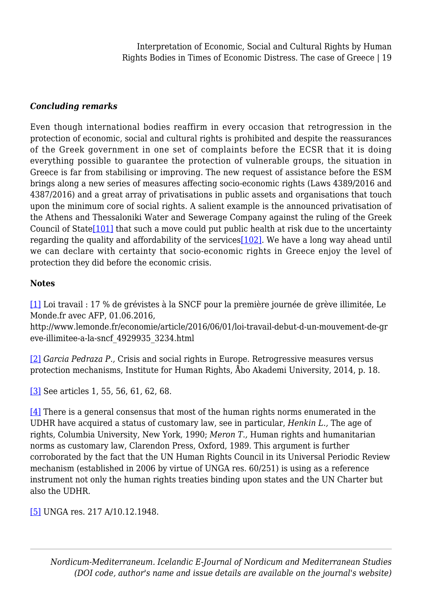#### *Concluding remarks*

Even though international bodies reaffirm in every occasion that retrogression in the protection of economic, social and cultural rights is prohibited and despite the reassurances of the Greek government in one set of complaints before the ECSR that it is doing everything possible to guarantee the protection of vulnerable groups, the situation in Greece is far from stabilising or improving. The new request of assistance before the ESM brings along a new series of measures affecting socio-economic rights (Laws 4389/2016 and 4387/2016) and a great array of privatisations in public assets and organisations that touch upon the minimum core of social rights. A salient example is the announced privatisation of the Athens and Thessaloniki Water and Sewerage Company against the ruling of the Greek Council of State[\[101\]](#page-29-7) that such a move could put public health at risk due to the uncertainty regarding the quality and affordability of the services[\[102\]](#page-29-8). We have a long way ahead until we can declare with certainty that socio-economic rights in Greece enjoy the level of protection they did before the economic crisis.

#### <span id="page-18-7"></span><span id="page-18-6"></span>**Notes**

<span id="page-18-0"></span>[\[1\]](#page-0-0) Loi travail : 17 % de grévistes à la SNCF pour la première journée de grève illimitée, Le Monde.fr avec AFP, 01.06.2016,

http://www.lemonde.fr/economie/article/2016/06/01/loi-travail-debut-d-un-mouvement-de-gr eve-illimitee-a-la-sncf\_4929935\_3234.html

<span id="page-18-1"></span>[\[2\]](#page-0-1) *Garcia Pedraza P.,* Crisis and social rights in Europe. Retrogressive measures versus protection mechanisms, Institute for Human Rights, Åbo Akademi University, 2014, p. 18.

<span id="page-18-2"></span>[\[3\]](#page-0-2) See articles 1, 55, 56, 61, 62, 68.

<span id="page-18-3"></span>[\[4\]](#page-0-3) There is a general consensus that most of the human rights norms enumerated in the UDHR have acquired a status of customary law, see in particular, *Henkin L.,* The age of rights, Columbia University, New York, 1990; *Meron T.,* Human rights and humanitarian norms as customary law, Clarendon Press, Oxford, 1989. This argument is further corroborated by the fact that the UN Human Rights Council in its Universal Periodic Review mechanism (established in 2006 by virtue of UNGA res. 60/251) is using as a reference instrument not only the human rights treaties binding upon states and the UN Charter but also the UDHR.

<span id="page-18-5"></span><span id="page-18-4"></span>[\[5\]](#page-0-4) UNGA res. 217 A/10.12.1948.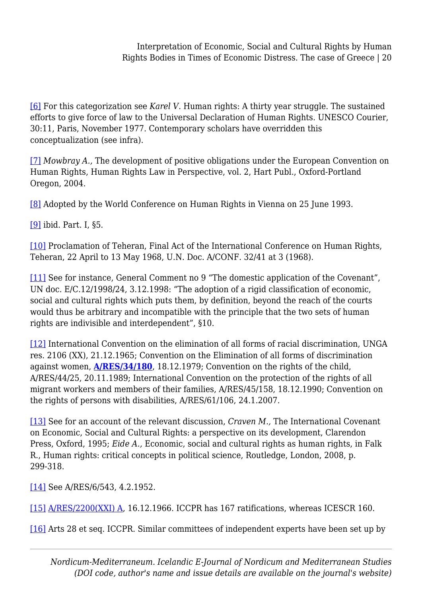[\[6\]](#page-1-0) For this categorization see *Karel V.* Human rights: A thirty year struggle. The sustained efforts to give force of law to the Universal Declaration of Human Rights. UNESCO Courier, 30:11, Paris, November 1977. Contemporary scholars have overridden this conceptualization (see infra).

<span id="page-19-0"></span>[\[7\]](#page-1-1) *Mowbray A.,* The development of positive obligations under the European Convention on Human Rights, Human Rights Law in Perspective, vol. 2, Hart Publ., Oxford-Portland Oregon, 2004.

<span id="page-19-1"></span>[\[8\]](#page-1-2) Adopted by the World Conference on Human Rights in Vienna on 25 June 1993.

<span id="page-19-2"></span>[\[9\]](#page-1-3) ibid. Part. I, §5.

<span id="page-19-3"></span>[\[10\]](#page-1-4) Proclamation of Teheran, Final Act of the International Conference on Human Rights, Teheran, 22 April to 13 May 1968, U.N. Doc. A/CONF. 32/41 at 3 (1968).

<span id="page-19-4"></span>[\[11\]](#page-1-5) See for instance, General Comment no 9 "The domestic application of the Covenant", UN doc. E/C.12/1998/24, 3.12.1998: "The adoption of a rigid classification of economic, social and cultural rights which puts them, by definition, beyond the reach of the courts would thus be arbitrary and incompatible with the principle that the two sets of human rights are indivisible and interdependent", §10.

<span id="page-19-5"></span>[\[12\]](#page-1-6) International Convention on the elimination of all forms of racial discrimination, UNGA res. 2106 (XX), 21.12.1965; Convention on the Elimination of all forms of discrimination against women, **[A/RES/34/180](http://www.un.org/en/ga/search/view_doc.asp?symbol=A/RES/34/180&Lang=E&Area=RESOLUTION)**, 18.12.1979; Convention on the rights of the child, A/RES/44/25, 20.11.1989; International Convention on the protection of the rights of all migrant workers and members of their families, A/RES/45/158, 18.12.1990; Convention on the rights of persons with disabilities, A/RES/61/106, 24.1.2007.

<span id="page-19-6"></span>[\[13\]](#page-1-7) See for an account of the relevant discussion, *Craven M.,* The International Covenant on Economic, Social and Cultural Rights: a perspective on its development, Clarendon Press, Oxford, 1995; *Eide A.,* Economic, social and cultural rights as human rights, in Falk R., Human rights: critical concepts in political science, Routledge, London, 2008, p. 299-318.

<span id="page-19-7"></span>[\[14\]](#page-1-8) See A/RES/6/543, 4.2.1952.

<span id="page-19-8"></span>[\[15\]](#page-1-9) [A/RES/2200\(XXI\) A](http://www.un.org/en/ga/search/view_doc.asp?symbol=A/RES/2200%28XXI%29&Lang=E&Area=RESOLUTION), 16.12.1966. ICCPR has 167 ratifications, whereas ICESCR 160.

<span id="page-19-9"></span>[\[16\]](#page-2-0) Arts 28 et seq. ICCPR. Similar committees of independent experts have been set up by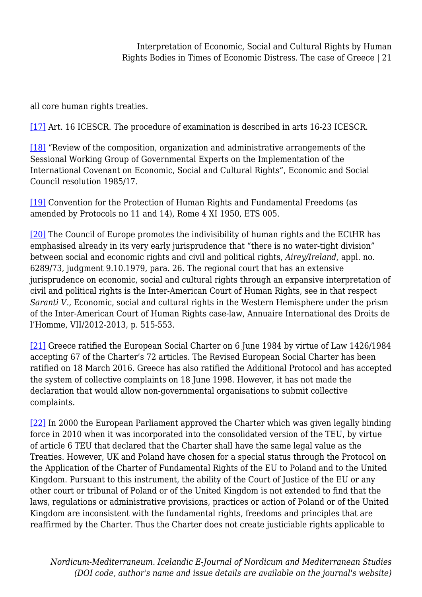all core human rights treaties.

<span id="page-20-0"></span>[\[17\]](#page-2-1) Art. 16 ICESCR. The procedure of examination is described in arts 16-23 ICESCR.

<span id="page-20-1"></span>[\[18\]](#page-2-2) "Review of the composition, organization and administrative arrangements of the Sessional Working Group of Governmental Experts on the Implementation of the International Covenant on Economic, Social and Cultural Rights", Economic and Social Council resolution 1985/17.

<span id="page-20-2"></span>[\[19\]](#page-2-3) Convention for the Protection of Human Rights and Fundamental Freedoms (as amended by Protocols no 11 and 14), Rome 4 XI 1950, ETS 005.

<span id="page-20-3"></span>[\[20\]](#page-3-0) The Council of Europe promotes the indivisibility of human rights and the ECtHR has emphasised already in its very early jurisprudence that "there is no water-tight division" between social and economic rights and civil and political rights, *Airey/Ireland,* appl. no. 6289/73, judgment 9.10.1979, para. 26. The regional court that has an extensive jurisprudence on economic, social and cultural rights through an expansive interpretation of civil and political rights is the Inter-American Court of Human Rights, see in that respect *Saranti V.,* Economic, social and cultural rights in the Western Hemisphere under the prism of the Inter-American Court of Human Rights case-law, Annuaire International des Droits de l'Homme, VII/2012-2013, p. 515-553.

<span id="page-20-4"></span>[\[21\]](#page-3-1) Greece ratified the European Social Charter on 6 June 1984 by virtue of Law 1426/1984 accepting 67 of the Charter's 72 articles. The Revised European Social Charter has been ratified on 18 March 2016. Greece has also ratified the Additional Protocol and has accepted the system of collective complaints on 18 June 1998. However, it has not made the declaration that would allow non-governmental organisations to submit collective complaints.

<span id="page-20-5"></span>[\[22\]](#page-3-2) In 2000 the European Parliament approved the Charter which was given legally binding force in 2010 when it was incorporated into the consolidated version of the TEU, by virtue of article 6 TEU that declared that the Charter shall have the same legal value as the Treaties. However, UK and Poland have chosen for a special status through the Protocol on the Application of the Charter of Fundamental Rights of the EU to Poland and to the United Kingdom. Pursuant to this instrument, the ability of the Court of Justice of the EU or any other court or tribunal of Poland or of the United Kingdom is not extended to find that the laws, regulations or administrative provisions, practices or action of Poland or of the United Kingdom are inconsistent with the fundamental rights, freedoms and principles that are reaffirmed by the Charter. Thus the Charter does not create justiciable rights applicable to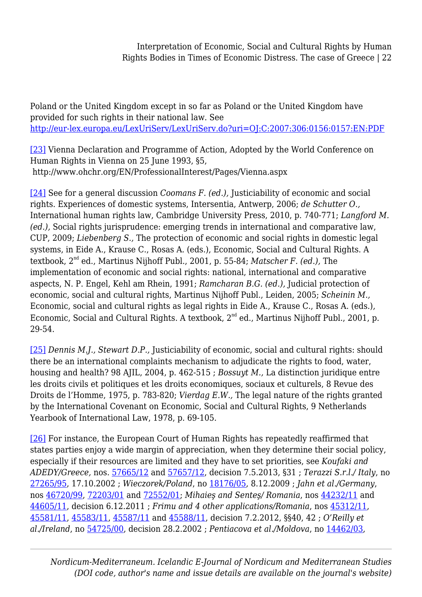Poland or the United Kingdom except in so far as Poland or the United Kingdom have provided for such rights in their national law. See <http://eur-lex.europa.eu/LexUriServ/LexUriServ.do?uri=OJ:C:2007:306:0156:0157:EN:PDF>

<span id="page-21-0"></span>[\[23\]](#page-3-3) Vienna Declaration and Programme of Action, Adopted by the World Conference on Human Rights in Vienna on 25 June 1993, §5, http://www.ohchr.org/EN/ProfessionalInterest/Pages/Vienna.aspx

<span id="page-21-1"></span>[\[24\]](#page-3-4) See for a general discussion *Coomans F. (ed.),* Justiciability of economic and social rights. Experiences of domestic systems, Intersentia, Antwerp, 2006; *de Schutter O.,* International human rights law, Cambridge University Press, 2010, p. 740-771; *Langford M. (ed.),* Social rights jurisprudence: emerging trends in international and comparative law, CUP, 2009; *Liebenberg S.,* The protection of economic and social rights in domestic legal systems, in Eide A., Krause C., Rosas A. (eds.), Economic, Social and Cultural Rights. A textbook, 2nd ed., Martinus Nijhoff Publ., 2001, p. 55-84; *Matscher F. (ed.),* The implementation of economic and social rights: national, international and comparative aspects, N. P. Engel, Kehl am Rhein, 1991; *Ramcharan B.G. (ed.),* Judicial protection of economic, social and cultural rights, Martinus Nijhoff Publ., Leiden, 2005; *Scheinin M.,* Economic, social and cultural rights as legal rights in Eide A., Krause C., Rosas A. (eds.), Economic, Social and Cultural Rights. A textbook, 2<sup>nd</sup> ed., Martinus Nijhoff Publ., 2001, p. 29-54.

<span id="page-21-2"></span>[\[25\]](#page-3-5) *Dennis M.J., Stewart D.P.,* Justiciability of economic, social and cultural rights: should there be an international complaints mechanism to adjudicate the rights to food, water, housing and health? 98 AJIL, 2004, p. 462-515 ; *Bossuyt M.,* La distinction juridique entre les droits civils et politiques et les droits economiques, sociaux et culturels, 8 Revue des Droits de l'Homme, 1975, p. 783-820; *Vierdag E.W.,* The legal nature of the rights granted by the International Covenant on Economic, Social and Cultural Rights, 9 Netherlands Yearbook of International Law, 1978, p. 69-105.

<span id="page-21-3"></span>[\[26\]](#page-4-0) For instance, the European Court of Human Rights has repeatedly reaffirmed that states parties enjoy a wide margin of appreciation, when they determine their social policy, especially if their resources are limited and they have to set priorities, see *Koufaki and ADEDY/Greece,* nos. [57665/12](http://hudoc.echr.coe.int/sites/eng/Pages/search.aspx#%7B%22appno%22:[%2257665/12%22]%7D) and [57657/12,](http://hudoc.echr.coe.int/sites/eng/Pages/search.aspx#%7B%22appno%22:[%2257657/12%22]%7D) decision 7.5.2013, §31 ; *Terazzi S.r.l./ Italy*, no [27265/95](http://hudoc.echr.coe.int/sites/eng/Pages/search.aspx#%7B%22appno%22:[%2227265/95%22]%7D), 17.10.2002 ; *Wieczorek/Poland*, no [18176/05](http://hudoc.echr.coe.int/sites/eng/Pages/search.aspx#%7B%22appno%22:[%2218176/05%22]%7D), 8.12.2009 ; *Jahn et al./Germany*, nos [46720/99,](http://hudoc.echr.coe.int/sites/eng/Pages/search.aspx#%7B%22appno%22:[%2246720/99%22]%7D) [72203/01](http://hudoc.echr.coe.int/sites/eng/Pages/search.aspx#%7B%22appno%22:[%2272203/01%22]%7D) and [72552/01](http://hudoc.echr.coe.int/sites/eng/Pages/search.aspx#%7B%22appno%22:[%2272552/01%22]%7D); *Mihaieş and Senteş/ Romania*, nos [44232/11](http://hudoc.echr.coe.int/sites/eng/Pages/search.aspx#%7B%22appno%22:[%2244232/11%22]%7D) and [44605/11](http://hudoc.echr.coe.int/sites/eng/Pages/search.aspx#%7B%22appno%22:[%2244605/11%22]%7D), decision 6.12.2011 ; *Frimu and 4 other applications/Romania*, nos [45312/11,](http://hudoc.echr.coe.int/sites/eng/Pages/search.aspx#%7B%22appno%22:[%2245312/11%22]%7D) [45581/11](http://hudoc.echr.coe.int/sites/eng/Pages/search.aspx#%7B%22appno%22:[%2245581/11%22]%7D), [45583/11,](http://hudoc.echr.coe.int/sites/eng/Pages/search.aspx#%7B%22appno%22:[%2245583/11%22]%7D) [45587/11](http://hudoc.echr.coe.int/sites/eng/Pages/search.aspx#%7B%22appno%22:[%2245587/11%22]%7D) and [45588/11](http://hudoc.echr.coe.int/sites/eng/Pages/search.aspx#%7B%22appno%22:[%2245588/11%22]%7D), decision 7.2.2012, §§40, 42 ; *O'Reilly et al./Ireland*, no [54725/00](http://hudoc.echr.coe.int/sites/eng/Pages/search.aspx#%7B%22appno%22:[%2254725/00%22]%7D), decision 28.2.2002 ; *Pentiacova et al./Moldova*, no [14462/03](http://hudoc.echr.coe.int/sites/eng/Pages/search.aspx#%7B%22appno%22:[%2214462/03%22]%7D),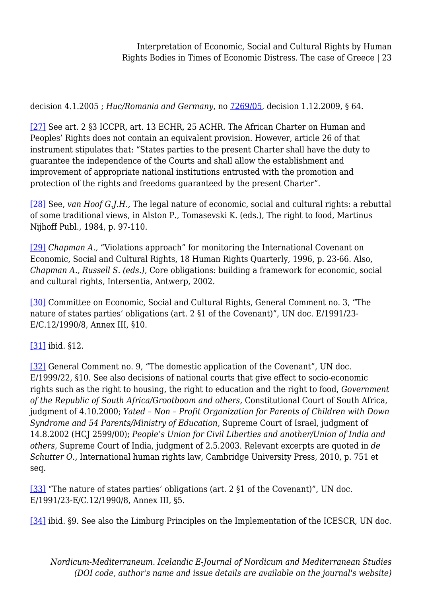decision 4.1.2005 ; *Huc/Romania and Germany*, no [7269/05,](http://hudoc.echr.coe.int/sites/eng/Pages/search.aspx#%7B%22appno%22:[%227269/05%22]%7D) decision 1.12.2009, § 64.

<span id="page-22-0"></span>[\[27\]](#page-4-1) See art. 2 §3 ICCPR, art. 13 ECHR, 25 ACHR. The African Charter on Human and Peoples' Rights does not contain an equivalent provision. However, article 26 of that instrument stipulates that: "States parties to the present Charter shall have the duty to guarantee the independence of the Courts and shall allow the establishment and improvement of appropriate national institutions entrusted with the promotion and protection of the rights and freedoms guaranteed by the present Charter".

<span id="page-22-1"></span>[\[28\]](#page-4-2) See, *van Hoof G.J.H.,* The legal nature of economic, social and cultural rights: a rebuttal of some traditional views, in Alston P., Tomasevski K. (eds.), The right to food, Martinus Nijhoff Publ., 1984, p. 97-110.

<span id="page-22-2"></span>[\[29\]](#page-4-3) *Chapman A.,* "Violations approach" for monitoring the International Covenant on Economic, Social and Cultural Rights, 18 Human Rights Quarterly, 1996, p. 23-66. Also, *Chapman A., Russell S. (eds.),* Core obligations: building a framework for economic, social and cultural rights, Intersentia, Antwerp, 2002.

<span id="page-22-3"></span>[\[30\]](#page-5-0) Committee on Economic, Social and Cultural Rights, General Comment no. 3, "The nature of states parties' obligations (art. 2 §1 of the Covenant)", UN doc. E/1991/23- E/C.12/1990/8, Annex III, §10.

<span id="page-22-4"></span>[\[31\]](#page-5-1) ibid. §12.

<span id="page-22-5"></span>[\[32\]](#page-5-2) General Comment no. 9, "The domestic application of the Covenant", UN doc. E/1999/22, §10. See also decisions of national courts that give effect to socio-economic rights such as the right to housing, the right to education and the right to food, *Government of the Republic of South Africa/Grootboom and others,* Constitutional Court of South Africa, judgment of 4.10.2000; *Yated – Non – Profit Organization for Parents of Children with Down Syndrome and 54 Parents/Ministry of Education,* Supreme Court of Israel, judgment of 14.8.2002 (HCJ 2599/00); *People's Union for Civil Liberties and another/Union of India and others,* Supreme Court of India, judgment of 2.5.2003. Relevant excerpts are quoted in *de Schutter O.,* International human rights law, Cambridge University Press, 2010, p. 751 et seq.

<span id="page-22-6"></span>[\[33\]](#page-5-3) "The nature of states parties' obligations (art. 2 §1 of the Covenant)", UN doc. E/1991/23-E/C.12/1990/8, Annex III, §5.

<span id="page-22-7"></span>[\[34\]](#page-6-0) ibid. §9. See also the Limburg Principles on the Implementation of the ICESCR, UN doc.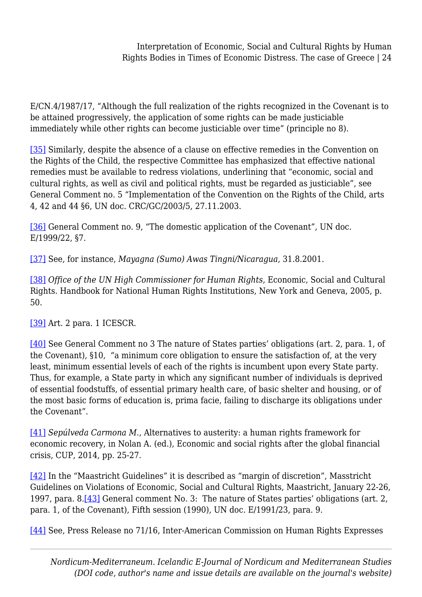E/CN.4/1987/17, "Although the full realization of the rights recognized in the Covenant is to be attained progressively, the application of some rights can be made justiciable immediately while other rights can become justiciable over time" (principle no 8).

<span id="page-23-0"></span>[\[35\]](#page-6-1) Similarly, despite the absence of a clause on effective remedies in the Convention on the Rights of the Child, the respective Committee has emphasized that effective national remedies must be available to redress violations, underlining that "economic, social and cultural rights, as well as civil and political rights, must be regarded as justiciable", see General Comment no. 5 "Implementation of the Convention on the Rights of the Child, arts 4, 42 and 44 §6, UN doc. CRC/GC/2003/5, 27.11.2003.

<span id="page-23-1"></span>[\[36\]](#page-6-2) General Comment no. 9, "The domestic application of the Covenant", UN doc. E/1999/22, §7.

<span id="page-23-2"></span>[\[37\]](#page-6-3) See, for instance, *Mayagna (Sumo) Awas Tingni/Nicaragua,* 31.8.2001.

<span id="page-23-3"></span>[\[38\]](#page-6-4) *Office of the UN High Commissioner for Human Rights,* Economic, Social and Cultural Rights. Handbook for National Human Rights Institutions, New York and Geneva, 2005, p. 50.

<span id="page-23-4"></span>[\[39\]](#page-7-0) Art. 2 para. 1 ICESCR.

<span id="page-23-5"></span>[\[40\]](#page-7-1) See General Comment no 3 The nature of States parties' obligations (art. 2, para. 1, of the Covenant), §10, "a minimum core obligation to ensure the satisfaction of, at the very least, minimum essential levels of each of the rights is incumbent upon every State party. Thus, for example, a State party in which any significant number of individuals is deprived of essential foodstuffs, of essential primary health care, of basic shelter and housing, or of the most basic forms of education is, prima facie, failing to discharge its obligations under the Covenant".

<span id="page-23-6"></span>[\[41\]](#page-7-2) *Sepúlveda Carmona M.,* Alternatives to austerity: a human rights framework for economic recovery, in Nolan A. (ed.), Economic and social rights after the global financial crisis, CUP, 2014, pp. 25-27.

<span id="page-23-8"></span><span id="page-23-7"></span>[\[42\]](#page-7-3) In the "Maastricht Guidelines" it is described as "margin of discretion", Masstricht Guidelines on Violations of Economic, Social and Cultural Rights, Maastricht, January 22-26, 1997, para. 8.[\[43\]](#page-7-4) General comment No. 3: The nature of States parties' obligations (art. 2, para. 1, of the Covenant), Fifth session (1990), UN doc. E/1991/23, para. 9.

<span id="page-23-9"></span>[\[44\]](#page-7-5) See, Press Release no 71/16, Inter-American Commission on Human Rights Expresses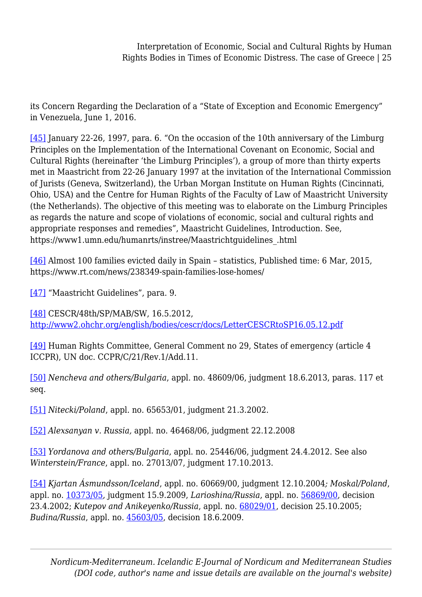its Concern Regarding the Declaration of a "State of Exception and Economic Emergency" in Venezuela, June 1, 2016.

<span id="page-24-0"></span>[\[45\]](#page-7-6) January 22-26, 1997, para. 6. "On the occasion of the 10th anniversary of the Limburg Principles on the Implementation of the International Covenant on Economic, Social and Cultural Rights (hereinafter 'the Limburg Principles'), a group of more than thirty experts met in Maastricht from 22-26 January 1997 at the invitation of the International Commission of Jurists (Geneva, Switzerland), the Urban Morgan Institute on Human Rights (Cincinnati, Ohio, USA) and the Centre for Human Rights of the Faculty of Law of Maastricht University (the Netherlands). The objective of this meeting was to elaborate on the Limburg Principles as regards the nature and scope of violations of economic, social and cultural rights and appropriate responses and remedies", Maastricht Guidelines, Introduction. See, https://www1.umn.edu/humanrts/instree/Maastrichtguidelines\_.html

<span id="page-24-1"></span>[\[46\]](#page-7-7) Almost 100 families evicted daily in Spain – statistics, Published time: 6 Mar, 2015, https://www.rt.com/news/238349-spain-families-lose-homes/

<span id="page-24-2"></span>[\[47\]](#page-8-0) "Maastricht Guidelines", para. 9.

<span id="page-24-3"></span>[\[48\]](#page-8-0) CESCR/48th/SP/MAB/SW, 16.5.2012, <http://www2.ohchr.org/english/bodies/cescr/docs/LetterCESCRtoSP16.05.12.pdf>

<span id="page-24-4"></span>[\[49\]](#page-8-1) Human Rights Committee, General Comment no 29, States of emergency (article 4 ICCPR), UN doc. CCPR/C/21/Rev.1/Add.11.

<span id="page-24-5"></span>[\[50\]](#page-8-2) *Nencheva and others/Bulgaria*, appl. no. 48609/06, judgment 18.6.2013, paras. 117 et seq.

<span id="page-24-6"></span>[\[51\]](#page-8-3) *Nitecki/Poland*, appl. no. 65653/01, judgment 21.3.2002.

<span id="page-24-7"></span>[\[52\]](#page-8-3) *Alexsanyan v. Russia,* appl. no. 46468/06, judgment 22.12.2008

<span id="page-24-8"></span>[\[53\]](#page-8-4) *Yordanova and others/Bulgaria*, appl. no. 25446/06, judgment 24.4.2012. See also *Winterstein/France*, appl. no. 27013/07, judgment 17.10.2013.

<span id="page-24-10"></span><span id="page-24-9"></span>[\[54\]](#page-8-4) *Kjartan Ásmundsson/Iceland*, appl. no. 60669/00, judgment 12.10.2004*; Moskal/Poland*, appl. no. [10373/05](http://hudoc.echr.coe.int/eng#%7B%22appno%22:[%2210373/05%22]%7D), judgment 15.9.2009, *Larioshina/Russia*, appl. no. [56869/00](http://hudoc.echr.coe.int/eng#%7B%22appno%22:[%2256869/00%22]%7D), decision 23.4.2002; *Kutepov and Anikeyenko/Russia*, appl. no. [68029/01,](http://hudoc.echr.coe.int/eng#%7B%22appno%22:[%2268029/01%22]%7D) decision 25.10.2005; *Budina/Russia*, appl. no. [45603/05](http://hudoc.echr.coe.int/eng#%7B%22appno%22:[%2245603/05%22]%7D), decision 18.6.2009.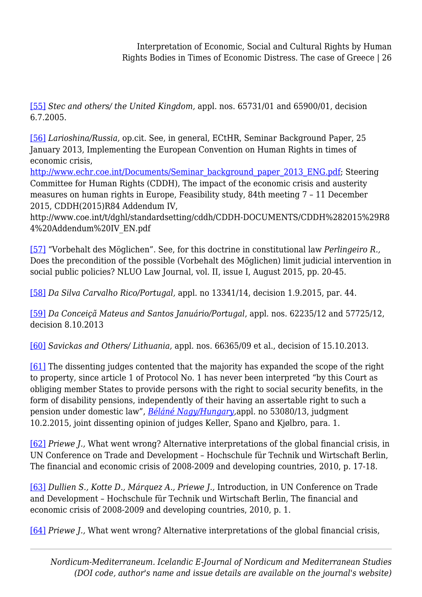[\[55\]](#page-9-0) *Stec and others/ the United Kingdom,* appl. nos. 65731/01 and 65900/01, decision 6.7.2005.

<span id="page-25-0"></span>[\[56\]](#page-9-1) *Larioshina/Russia,* op.cit. See, in general, ECtHR, Seminar Background Paper, 25 January 2013, Implementing the European Convention on Human Rights in times of economic crisis,

[http://www.echr.coe.int/Documents/Seminar\\_background\\_paper\\_2013\\_ENG.pdf;](http://www.echr.coe.int/Documents/Seminar_background_paper_2013_ENG.pdf) Steering Committee for Human Rights (CDDH), The impact of the economic crisis and austerity measures on human rights in Europe, Feasibility study, 84th meeting 7 – 11 December 2015, CDDH(2015)R84 Addendum IV,

http://www.coe.int/t/dghl/standardsetting/cddh/CDDH-DOCUMENTS/CDDH%282015%29R8 4%20Addendum%20IV\_EN.pdf

<span id="page-25-1"></span>[\[57\]](#page-9-2) "Vorbehalt des Möglichen". See, for this doctrine in constitutional law *Perlingeiro R.,* Does the precondition of the possible (Vorbehalt des Möglichen) limit judicial intervention in social public policies? NLUO Law Journal, vol. II, issue I, August 2015, pp. 20-45.

<span id="page-25-2"></span>[\[58\]](#page-9-3) *Da Silva Carvalho Rico/Portugal,* appl. no 13341/14, decision 1.9.2015, par. 44.

<span id="page-25-3"></span>[\[59\]](#page-9-4) *Da Conceiçã Mateus and Santos Januário/Portugal*, appl. nos. 62235/12 and 57725/12, decision 8.10.2013

<span id="page-25-4"></span>[\[60\]](#page-9-5) *Savickas and Others/ Lithuania,* appl. nos. 66365/09 et al., decision of 15.10.2013.

<span id="page-25-5"></span>[\[61\]](#page-9-6) The dissenting judges contented that the majority has expanded the scope of the right to property, since article 1 of Protocol No. 1 has never been interpreted "by this Court as obliging member States to provide persons with the right to social security benefits, in the form of disability pensions, independently of their having an assertable right to such a pension under domestic law", *[Béláné Nagy/Hungary](http://hudoc.echr.coe.int/eng?i=001-150998),*appl. no 53080/13, judgment 10.2.2015, joint dissenting opinion of judges Keller, Spano and Kjølbro, para. 1.

<span id="page-25-6"></span>[\[62\]](#page-9-7) *Priewe J.,* What went wrong? Alternative interpretations of the global financial crisis, in UN Conference on Trade and Development – Hochschule für Technik und Wirtschaft Berlin, The financial and economic crisis of 2008-2009 and developing countries, 2010, p. 17-18.

<span id="page-25-7"></span>[\[63\]](#page-10-0) *Dullien S., Kotte D., Márquez A., Priewe J.,* Introduction, in UN Conference on Trade and Development – Hochschule für Technik und Wirtschaft Berlin, The financial and economic crisis of 2008-2009 and developing countries, 2010, p. 1.

<span id="page-25-8"></span>[\[64\]](#page-10-1) *Priewe J.,* What went wrong? Alternative interpretations of the global financial crisis,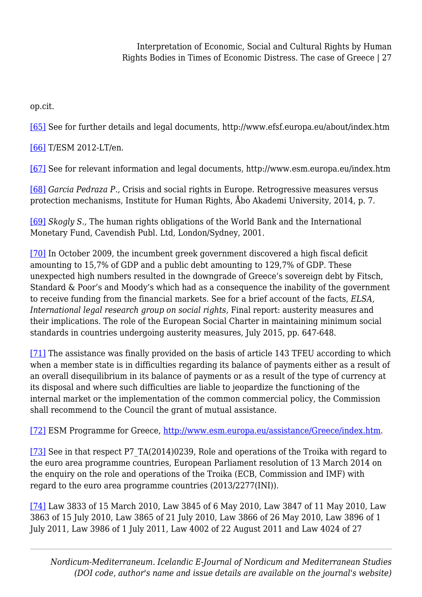op.cit.

<span id="page-26-0"></span>[\[65\]](#page-10-2) See for further details and legal documents, http://www.efsf.europa.eu/about/index.htm

<span id="page-26-1"></span>[\[66\]](#page-10-3) T/ESM 2012-LT/en.

<span id="page-26-2"></span>[\[67\]](#page-11-0) See for relevant information and legal documents, http://www.esm.europa.eu/index.htm

<span id="page-26-3"></span>[\[68\]](#page-11-1) *Garcia Pedraza P.,* Crisis and social rights in Europe. Retrogressive measures versus protection mechanisms, Institute for Human Rights, Åbo Akademi University, 2014, p. 7.

<span id="page-26-4"></span>[\[69\]](#page-11-2) *Skogly S.,* The human rights obligations of the World Bank and the International Monetary Fund, Cavendish Publ. Ltd, London/Sydney, 2001.

<span id="page-26-5"></span>[\[70\]](#page-11-3) In October 2009, the incumbent greek government discovered a high fiscal deficit amounting to 15,7% of GDP and a public debt amounting to 129,7% of GDP. These unexpected high numbers resulted in the downgrade of Greece's sovereign debt by Fitsch, Standard & Poor's and Moody's which had as a consequence the inability of the government to receive funding from the financial markets. See for a brief account of the facts, *ELSA, International legal research group on social rights,* Final report: austerity measures and their implications. The role of the European Social Charter in maintaining minimum social standards in countries undergoing austerity measures, July 2015, pp. 647-648.

<span id="page-26-6"></span>[\[71\]](#page-11-4) The assistance was finally provided on the basis of article 143 TFEU according to which when a member state is in difficulties regarding its balance of payments either as a result of an overall disequilibrium in its balance of payments or as a result of the type of currency at its disposal and where such difficulties are liable to jeopardize the functioning of the internal market or the implementation of the common commercial policy, the Commission shall recommend to the Council the grant of mutual assistance.

<span id="page-26-7"></span>[\[72\]](#page-12-0) ESM Programme for Greece, <http://www.esm.europa.eu/assistance/Greece/index.htm>.

<span id="page-26-8"></span>[\[73\]](#page-12-1) See in that respect P7 TA(2014)0239, Role and operations of the Troika with regard to the euro area programme countries, European Parliament resolution of 13 March 2014 on the enquiry on the role and operations of the Troika (ECB, Commission and IMF) with regard to the euro area programme countries (2013/2277(INI)).

<span id="page-26-9"></span>[\[74\]](#page-13-0) Law 3833 of 15 March 2010, Law 3845 of 6 May 2010, Law 3847 of 11 May 2010, Law 3863 of 15 July 2010, Law 3865 of 21 July 2010, Law 3866 of 26 May 2010, Law 3896 of 1 July 2011, Law 3986 of 1 July 2011, Law 4002 of 22 August 2011 and Law 4024 of 27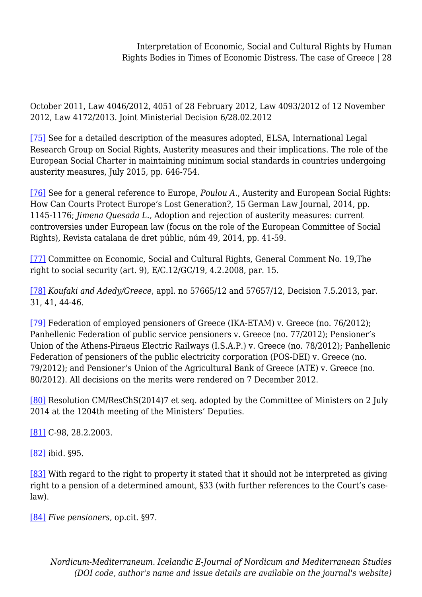October 2011, Law 4046/2012, 4051 of 28 February 2012, Law 4093/2012 of 12 November 2012, Law 4172/2013. Joint Ministerial Decision 6/28.02.2012

<span id="page-27-0"></span>[\[75\]](#page-13-1) See for a detailed description of the measures adopted, ELSA, International Legal Research Group on Social Rights, Austerity measures and their implications. The role of the European Social Charter in maintaining minimum social standards in countries undergoing austerity measures, July 2015, pp. 646-754.

<span id="page-27-1"></span>[\[76\]](#page-13-2) See for a general reference to Europe, *Poulou A.*, Austerity and European Social Rights: How Can Courts Protect Europe's Lost Generation?, 15 German Law Journal, 2014, pp. 1145-1176; *Jimena Quesada L.,* Adoption and rejection of austerity measures: current controversies under European law (focus on the role of the European Committee of Social Rights), Revista catalana de dret públic, núm 49, 2014, pp. 41-59.

<span id="page-27-2"></span>[\[77\]](#page-13-3) Committee on Economic, Social and Cultural Rights, General Comment No. 19,The right to social security (art. 9), E/C.12/GC/19, 4.2.2008, par. 15.

<span id="page-27-3"></span>[\[78\]](#page-13-4) *Koufaki and Adedy/Greece*, appl. no 57665/12 and 57657/12, Decision 7.5.2013, par. 31, 41, 44-46.

<span id="page-27-4"></span>[\[79\]](#page-14-0) Federation of employed pensioners of Greece (IKA-ETAM) v. Greece (no. 76/2012); Panhellenic Federation of public service pensioners v. Greece (no. 77/2012); Pensioner's Union of the Athens-Piraeus Electric Railways (I.S.A.P.) v. Greece (no. 78/2012); Panhellenic Federation of pensioners of the public electricity corporation (POS-DEI) v. Greece (no. 79/2012); and Pensioner's Union of the Agricultural Bank of Greece (ATE) v. Greece (no. 80/2012). All decisions on the merits were rendered on 7 December 2012.

<span id="page-27-5"></span>[\[80\]](#page-14-1) Resolution CM/ResChS(2014)7 et seq. adopted by the Committee of Ministers on 2 July 2014 at the 1204th meeting of the Ministers' Deputies.

<span id="page-27-6"></span>[\[81\]](#page-14-2) C-98, 28.2.2003.

<span id="page-27-7"></span>[\[82\]](#page-15-0) ibid. §95.

<span id="page-27-8"></span>[\[83\]](#page-15-1) With regard to the right to property it stated that it should not be interpreted as giving right to a pension of a determined amount, §33 (with further references to the Court's caselaw).

<span id="page-27-10"></span><span id="page-27-9"></span>[\[84\]](#page-15-2) *Five pensioners,* op.cit. §97.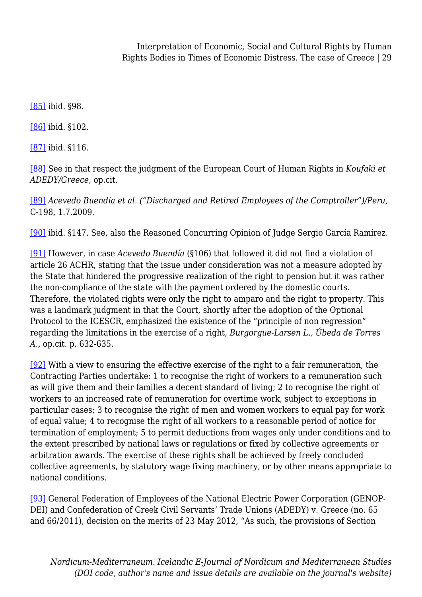[\[85\]](#page-15-3) ibid. §98.

<span id="page-28-0"></span>[\[86\]](#page-15-4) ibid. §102.

<span id="page-28-1"></span>[\[87\]](#page-15-5) ibid. §116.

<span id="page-28-2"></span>[\[88\]](#page-15-6) See in that respect the judgment of the European Court of Human Rights in *Koufaki et ADEDY/Greece,* op.cit.

<span id="page-28-3"></span>[\[89\]](#page-16-0) *Acevedo Buendía et al. ("Discharged and Retired Employees of the Comptroller")/Peru,* C-198, 1.7.2009.

<span id="page-28-4"></span>[\[90\]](#page-16-1) ibid. §147. See, also the Reasoned Concurring Opinion of Judge Sergio García Ramírez.

<span id="page-28-5"></span>[\[91\]](#page-16-2) However, in case *Acevedo Buendía* (§106) that followed it did not find a violation of article 26 ACHR, stating that the issue under consideration was not a measure adopted by the State that hindered the progressive realization of the right to pension but it was rather the non-compliance of the state with the payment ordered by the domestic courts. Therefore, the violated rights were only the right to amparo and the right to property. This was a landmark judgment in that the Court, shortly after the adoption of the Optional Protocol to the ICESCR, emphasized the existence of the "principle of non regression" regarding the limitations in the exercise of a right, *Burgorgue-Larsen L., Úbeda de Torres A.,* op.cit. p. 632-635.

<span id="page-28-6"></span>[\[92\]](#page-16-3) With a view to ensuring the effective exercise of the right to a fair remuneration, the Contracting Parties undertake: 1 to recognise the right of workers to a remuneration such as will give them and their families a decent standard of living; 2 to recognise the right of workers to an increased rate of remuneration for overtime work, subject to exceptions in particular cases; 3 to recognise the right of men and women workers to equal pay for work of equal value; 4 to recognise the right of all workers to a reasonable period of notice for termination of employment; 5 to permit deductions from wages only under conditions and to the extent prescribed by national laws or regulations or fixed by collective agreements or arbitration awards. The exercise of these rights shall be achieved by freely concluded collective agreements, by statutory wage fixing machinery, or by other means appropriate to national conditions.

<span id="page-28-7"></span>[\[93\]](#page-16-4) General Federation of Employees of the National Electric Power Corporation (GENOP-DEI) and Confederation of Greek Civil Servants' Trade Unions (ADEDY) v. Greece (no. 65 and 66/2011), decision on the merits of 23 May 2012, "As such, the provisions of Section